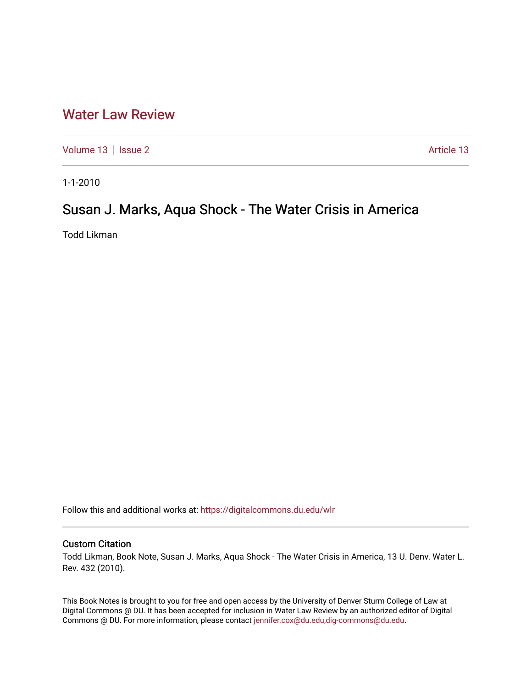## [Water Law Review](https://digitalcommons.du.edu/wlr)

[Volume 13](https://digitalcommons.du.edu/wlr/vol13) | [Issue 2](https://digitalcommons.du.edu/wlr/vol13/iss2) Article 13

1-1-2010

## Susan J. Marks, Aqua Shock - The Water Crisis in America

Todd Likman

Follow this and additional works at: [https://digitalcommons.du.edu/wlr](https://digitalcommons.du.edu/wlr?utm_source=digitalcommons.du.edu%2Fwlr%2Fvol13%2Fiss2%2F13&utm_medium=PDF&utm_campaign=PDFCoverPages) 

## Custom Citation

Todd Likman, Book Note, Susan J. Marks, Aqua Shock - The Water Crisis in America, 13 U. Denv. Water L. Rev. 432 (2010).

This Book Notes is brought to you for free and open access by the University of Denver Sturm College of Law at Digital Commons @ DU. It has been accepted for inclusion in Water Law Review by an authorized editor of Digital Commons @ DU. For more information, please contact [jennifer.cox@du.edu,dig-commons@du.edu.](mailto:jennifer.cox@du.edu,dig-commons@du.edu)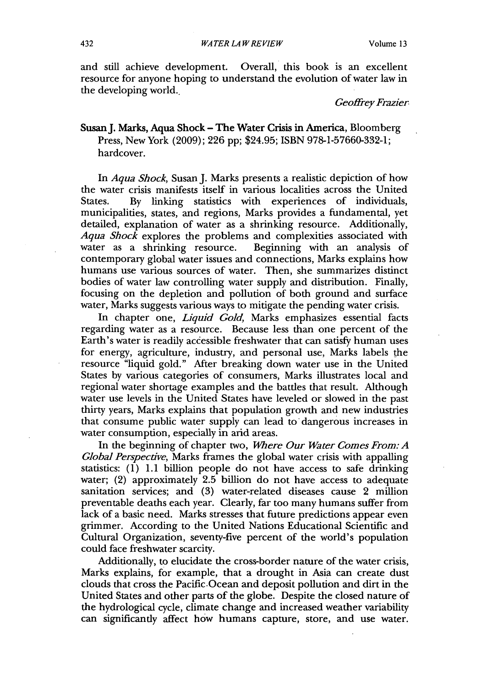and still achieve development. Overall, this book is an excellent resource for anyone hoping to understand the evolution of water law in the developing world..

*Geoffrey Frazier*

Susan J. Marks, Aqua Shock - The Water Crisis in America, Bloomberg Press, New York (2009); 226 pp; \$24.95; ISBN 978-1-57660-332-1; hardcover.

In *Aqua Shock,* Susan J. Marks presents a realistic depiction of how the water crisis manifests itself in various localities across the United<br>States. By linking statistics with experiences of individuals. By linking statistics with experiences of individuals, municipalities, states, and regions, Marks provides a fundamental, yet detailed, explanation of water as a shrinking resource. Additionally, Aqua Shock explores the problems and complexities associated with water as a shrinking resource. Beginning with an analysis of water as a shrinking resource. contemporary global water issues and connections, Marks explains how humans use various sources of water. Then, she summarizes distinct bodies of water law controlling water supply and distribution. Finally, focusing on the depletion and pollution of both ground and surface water, Marks suggests various ways to mitigate the pending water crisis.

In chapter one, *Liquid Gold*, Marks emphasizes essential facts regarding water as a resource. Because less than one percent of the Earth's water is readily accessible freshwater that can satisfy human uses for energy, agriculture, industry, and personal use, Marks labels the resource "liquid gold." After breaking down water use in the United States by various categories of consumers, Marks illustrates local and regional water shortage examples and the battles that result. Although water use levels in the United States have leveled or slowed in the past thirty years, Marks explains that population growth and new industries that consume public water supply can lead to dangerous increases in water consumption, especially in arid areas.

In the beginning of chapter two, *Where Our Water Comes From: A Global Perspective,* Marks frames the global water crisis with appalling statistics:  $(1)$  1.1 billion people do not have access to safe drinking water; (2) approximately 2.5 billion do not have access to adequate sanitation services; and (3) water-related diseases cause 2 million preventable deaths each year. Clearly, far too many humans suffer from lack of a basic need. Marks stresses that future predictions appear even grimmer. According to the United Nations Educational Scientific and Cultural Organization, seventy-five percent of the world's population could face freshwater scarcity.

Additionally, to elucidate the cross-border nature of the water crisis, Marks explains, for example, that a drought in Asia can create dust clouds that cross the Pacific.Ocean and deposit pollution and dirt in the United States and other parts of the globe. Despite the closed nature of the hydrological cycle, climate change and increased weather variability can significantly affect how humans capture, store, and use water.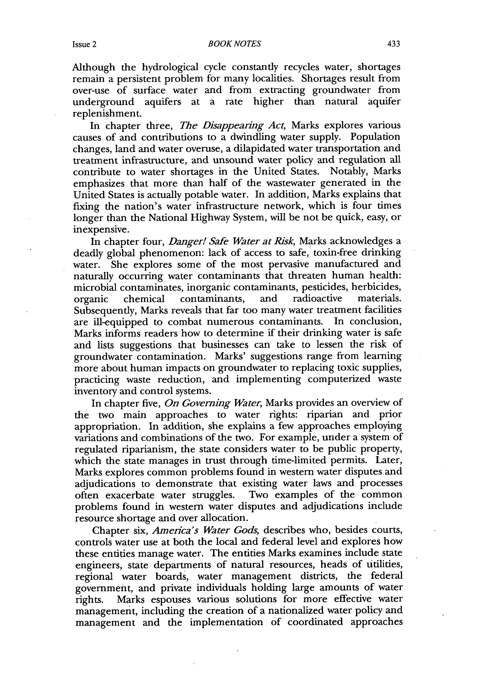Although the hydrological cycle constantly recycles water, shortages remain a persistent problem for many localities. Shortages result from over-use of surface water and from extracting groundwater from underground aquifers at a rate higher than natural aquifer replenishment.

In chapter three, *The Disappearing Act,* Marks explores various causes of and contributions to a dwindling water supply. Population changes, land and water overuse, a dilapidated water transportation and treatment infrastructure, and unsound water policy and regulation all contribute to water shortages in the United States. Notably, Marks emphasizes that more than half of the wastewater generated in the United States is actually potable water. In addition, Marks explains that fixing the nation's water infrastructure network, which is four times longer than the National Highway System, will be not be quick, easy, or inexpensive.

In chapter four, *Danger! Safe Water at Risk,* Marks acknowledges a deadly global phenomenon: lack of access to safe, toxin-free drinking water. She explores some of the most pervasive manufactured and naturally occurring water contaminants that threaten human health: microbial contaminates, inorganic contaminants, pesticides, herbicides, organic chemical contaminants, and radioactive materials. organic chemical contaminants, Subsequently, Marks reveals that far too many water treatment facilities are ill-equipped to combat numerous contaminants. In conclusion, Marks informs readers how to determine if their drinking water is safe and lists suggestions that businesses can take to lessen the risk of groundwater contamination. Marks' suggestions range from learning more about human impacts on groundwater to replacing toxic supplies, practicing waste reduction, and implementing computerized waste inventory and control systems.

In chapter five, *On Governing Water,* Marks provides an overview of the two main approaches to water rights: riparian and prior appropriation. In addition, she explains a few approaches employing variations and combinations of the two. For example, under a system of regulated riparianism, the state considers water to be public property, which the state manages in trust through time-limited permits. Later, Marks explores common problems found in western water disputes and adjudications to demonstrate that existing water laws and processes often exacerbate water struggles. Two examples of the common often exacerbate water struggles. problems found in western water disputes and adjudications include resource shortage and over allocation.

Chapter six, *America's Water Gods,* describes who, besides courts, controls water use at both the local and federal level and explores how these entities manage water. The entities Marks examines include state engineers, state departments of natural resources, heads of utilities, regional water boards, water management districts, the federal government, and private individuals holding large amounts of water rights. Marks espouses various solutions for more effective water management, including the creation of a nationalized water policy and management and the implementation of coordinated approaches